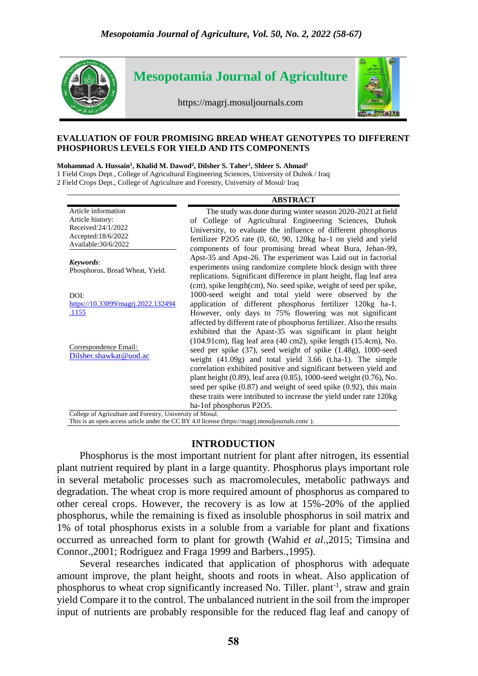

### **EVALUATION OF FOUR PROMISING BREAD WHEAT GENOTYPES TO DIFFERENT PHOSPHORUS LEVELS FOR YIELD AND ITS COMPONENTS**

#### **Mohammad A. Hussain<sup>1</sup> , Khalid M. Dawod<sup>2</sup> , Dilsher S. Taher<sup>1</sup> , Shleer S. Ahmad<sup>1</sup>**

1 Field Crops Dept., College of Agricultural Engineering Sciences, University of Duhok / Iraq

2 Field Crops Dept., College of Agriculture and Forestry, University of Mosul/ Iraq

| <b>ABSTRACT</b>                                                                                                                                                                                                                                                                                                                                                                                                                                                                                                    |
|--------------------------------------------------------------------------------------------------------------------------------------------------------------------------------------------------------------------------------------------------------------------------------------------------------------------------------------------------------------------------------------------------------------------------------------------------------------------------------------------------------------------|
| The study was done during winter season 2020-2021 at field<br>of College of Agricultural Engineering Sciences, Duhok<br>University, to evaluate the influence of different phosphorus<br>fertilizer P2O5 rate (0, 60, 90, 120kg ha-1 on yield and yield<br>components of four promising bread wheat Bura, Jehan-99,                                                                                                                                                                                                |
| Apst-35 and Apst-26. The experiment was Laid out in factorial<br>experiments using randomize complete block design with three<br>replications. Significant difference in plant height, flag leaf area<br>(cm), spike length(cm), No. seed spike, weight of seed per spike,                                                                                                                                                                                                                                         |
| 1000-seed weight and total yield were observed by the<br>application of different phosphorus fertilizer 120kg ha-1.<br>However, only days to 75% flowering was not significant<br>affected by different rate of phosphorus fertilizer. Also the results<br>exhibited that the Apast-35 was significant in plant height                                                                                                                                                                                             |
| (104.91cm), flag leaf area (40 cm2), spike length (15.4cm), No.<br>seed per spike (37), seed weight of spike (1.48g), 1000-seed<br>weight (41.09g) and total yield 3.66 (t.ha-1). The simple<br>correlation exhibited positive and significant between yield and<br>plant height (0.89), leaf area (0.85), 1000-seed weight (0.76), No.<br>seed per spike $(0.87)$ and weight of seed spike $(0.92)$ , this main<br>these traits were intributed to increase the yield under rate 120kg<br>ha-1of phosphorus P2O5. |
|                                                                                                                                                                                                                                                                                                                                                                                                                                                                                                                    |

This is an open access article under the CC BY 4.0 license [\(https://magrj.mosuljournals.com/](https://magrj.mosuljournals.com/) ).

# **INTRODUCTION**

Phosphorus is the most important nutrient for plant after nitrogen, its essential plant nutrient required by plant in a large quantity. Phosphorus plays important role in several metabolic processes such as macromolecules, metabolic pathways and degradation. The wheat crop is more required amount of phosphorus as compared to other cereal crops. However, the recovery is as low at 15%-20% of the applied phosphorus, while the remaining is fixed as insoluble phosphorus in soil matrix and 1% of total phosphorus exists in a soluble from a variable for plant and fixations occurred as unreached form to plant for growth (Wahid *et al*.,2015; Timsina and Connor.,2001; Rodriguez and Fraga 1999 and Barbers.,1995).

Several researches indicated that application of phosphorus with adequate amount improve, the plant height, shoots and roots in wheat. Also application of phosphorus to wheat crop significantly increased No. Tiller. plant<sup>-1</sup>, straw and grain yield Compare it to the control. The unbalanced nutrient in the soil from the improper input of nutrients are probably responsible for the reduced flag leaf and canopy of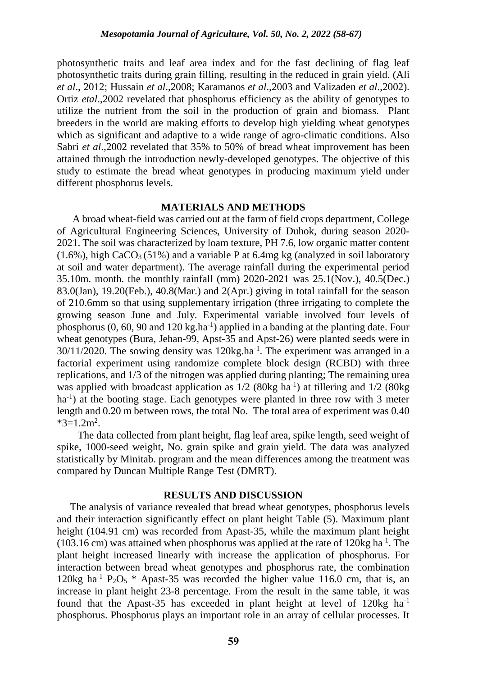photosynthetic traits and leaf area index and for the fast declining of flag leaf photosynthetic traits during grain filling, resulting in the reduced in grain yield. (Ali *et al*., 2012; Hussain *et al*.,2008; Karamanos *et al*.,2003 and Valizaden *et al*.,2002). Ortiz *etal*.,2002 revelated that phosphorus efficiency as the ability of genotypes to utilize the nutrient from the soil in the production of grain and biomass. Plant breeders in the world are making efforts to develop high yielding wheat genotypes which as significant and adaptive to a wide range of agro-climatic conditions. Also Sabri *et al*.,2002 revelated that 35% to 50% of bread wheat improvement has been attained through the introduction newly-developed genotypes. The objective of this study to estimate the bread wheat genotypes in producing maximum yield under different phosphorus levels.

### **MATERIALS AND METHODS**

 A broad wheat-field was carried out at the farm of field crops department, College of Agricultural Engineering Sciences, University of Duhok, during season 2020- 2021. The soil was characterized by loam texture, PH 7.6, low organic matter content  $(1.6\%)$ , high CaCO<sub>3</sub> (51%) and a variable P at 6.4mg kg (analyzed in soil laboratory at soil and water department). The average rainfall during the experimental period 35.10m. month. the monthly rainfall (mm) 2020-2021 was 25.1(Nov.), 40.5(Dec.) 83.0(Jan), 19.20(Feb.), 40.8(Mar.) and 2(Apr.) giving in total rainfall for the season of 210.6mm so that using supplementary irrigation (three irrigating to complete the growing season June and July. Experimental variable involved four levels of phosphorus  $(0, 60, 90$  and  $120$  kg.ha<sup>-1</sup>) applied in a banding at the planting date. Four wheat genotypes (Bura, Jehan-99, Apst-35 and Apst-26) were planted seeds were in  $30/11/2020$ . The sowing density was  $120$ kg.ha<sup>-1</sup>. The experiment was arranged in a factorial experiment using randomize complete block design (RCBD) with three replications, and 1/3 of the nitrogen was applied during planting; The remaining urea was applied with broadcast application as  $1/2$  (80kg ha<sup>-1</sup>) at tillering and  $1/2$  (80kg ha<sup>-1</sup>) at the booting stage. Each genotypes were planted in three row with 3 meter length and 0.20 m between rows, the total No. The total area of experiment was 0.40  $*3=1.2 \text{m}^2$ .

 The data collected from plant height, flag leaf area, spike length, seed weight of spike, 1000-seed weight, No. grain spike and grain yield. The data was analyzed statistically by Minitab. program and the mean differences among the treatment was compared by Duncan Multiple Range Test (DMRT).

### **RESULTS AND DISCUSSION**

 The analysis of variance revealed that bread wheat genotypes, phosphorus levels and their interaction significantly effect on plant height Table (5). Maximum plant height (104.91 cm) was recorded from Apast-35, while the maximum plant height  $(103.16 \text{ cm})$  was attained when phosphorus was applied at the rate of 120kg ha<sup>-1</sup>. The plant height increased linearly with increase the application of phosphorus. For interaction between bread wheat genotypes and phosphorus rate, the combination 120kg ha<sup>-1</sup> P<sub>2</sub>O<sub>5</sub> \* Apast-35 was recorded the higher value 116.0 cm, that is, an increase in plant height 23-8 percentage. From the result in the same table, it was found that the Apast-35 has exceeded in plant height at level of  $120kg$  ha<sup>-1</sup> phosphorus. Phosphorus plays an important role in an array of cellular processes. It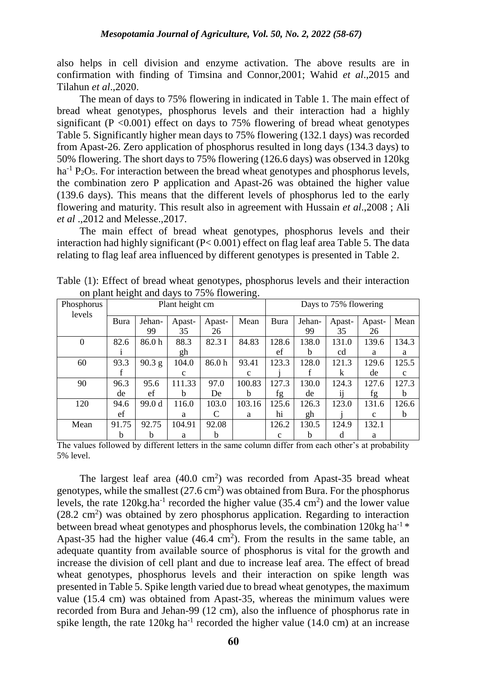also helps in cell division and enzyme activation. The above results are in confirmation with finding of Timsina and Connor,2001; Wahid *et al*.,2015 and Tilahun *et al*.,2020.

The mean of days to 75% flowering in indicated in Table 1. The main effect of bread wheat genotypes, phosphorus levels and their interaction had a highly significant ( $P < 0.001$ ) effect on days to 75% flowering of bread wheat genotypes Table 5. Significantly higher mean days to 75% flowering (132.1 days) was recorded from Apast-26. Zero application of phosphorus resulted in long days (134.3 days) to 50% flowering. The short days to 75% flowering (126.6 days) was observed in 120kg  $ha^{-1} P_2O_5$ . For interaction between the bread wheat genotypes and phosphorus levels, the combination zero P application and Apast-26 was obtained the higher value (139.6 days). This means that the different levels of phosphorus led to the early flowering and maturity. This result also in agreement with Hussain *et al*.,2008 ; Ali *et al* .,2012 and Melesse.,2017.

The main effect of bread wheat genotypes, phosphorus levels and their interaction had highly significant (P< 0.001) effect on flag leaf area Table 5. The data relating to flag leaf area influenced by different genotypes is presented in Table 2.

| Phosphorus<br>levels | ى<br>־כ<br>Plant height cm |          |             |        |             |             | Days to 75% flowering |        |             |             |
|----------------------|----------------------------|----------|-------------|--------|-------------|-------------|-----------------------|--------|-------------|-------------|
|                      | Bura                       | Jehan-   | Apast-      | Apast- | Mean        | Bura        | Jehan-                | Apast- | Apast-      | Mean        |
|                      |                            | 99       | 35          | 26     |             |             | 99                    | 35     | 26          |             |
| $\theta$             | 82.6                       | 86.0h    | 88.3        | 82.3 I | 84.83       | 128.6       | 138.0                 | 131.0  | 139.6       | 134.3       |
|                      |                            |          | gh          |        |             | ef          | b                     | cd     | a           | a           |
| 60                   | 93.3                       | $90.3$ g | 104.0       | 86.0h  | 93.41       | 123.3       | 128.0                 | 121.3  | 129.6       | 125.5       |
|                      |                            |          | $\mathbf c$ |        | $\mathbf c$ |             |                       | k      | de          | $\mathbf c$ |
| 90                   | 96.3                       | 95.6     | 111.33      | 97.0   | 100.83      | 127.3       | 130.0                 | 124.3  | 127.6       | 127.3       |
|                      | de                         | ef       | b           | De     | b           | fg          | de                    | 11     | fg          | b           |
| 120                  | 94.6                       | 99.0 d   | 116.0       | 103.0  | 103.16      | 125.6       | 126.3                 | 123.0  | 131.6       | 126.6       |
|                      | ef                         |          | a           |        | a           | hi          | gh                    |        | $\mathbf c$ | b           |
| Mean                 | 91.75                      | 92.75    | 104.91      | 92.08  |             | 126.2       | 130.5                 | 124.9  | 132.1       |             |
|                      | b                          | b        | a           | b      |             | $\mathbf c$ | b                     | d      | a           |             |

Table (1): Effect of bread wheat genotypes, phosphorus levels and their interaction on plant height and days to 75% flowering.

The values followed by different letters in the same column differ from each other's at probability 5% level.

The largest leaf area  $(40.0 \text{ cm}^2)$  was recorded from Apast-35 bread wheat genotypes, while the smallest  $(27.6 \text{ cm}^2)$  was obtained from Bura. For the phosphorus levels, the rate 120kg.ha<sup>-1</sup> recorded the higher value (35.4 cm<sup>2</sup>) and the lower value  $(28.2 \text{ cm}^2)$  was obtained by zero phosphorus application. Regarding to interaction between bread wheat genotypes and phosphorus levels, the combination 120kg ha<sup>-1  $*$ </sup> Apast-35 had the higher value  $(46.4 \text{ cm}^2)$ . From the results in the same table, an adequate quantity from available source of phosphorus is vital for the growth and increase the division of cell plant and due to increase leaf area. The effect of bread wheat genotypes, phosphorus levels and their interaction on spike length was presented in Table 5. Spike length varied due to bread wheat genotypes, the maximum value (15.4 cm) was obtained from Apast-35, whereas the minimum values were recorded from Bura and Jehan-99 (12 cm), also the influence of phosphorus rate in spike length, the rate  $120$ kg ha<sup>-1</sup> recorded the higher value (14.0 cm) at an increase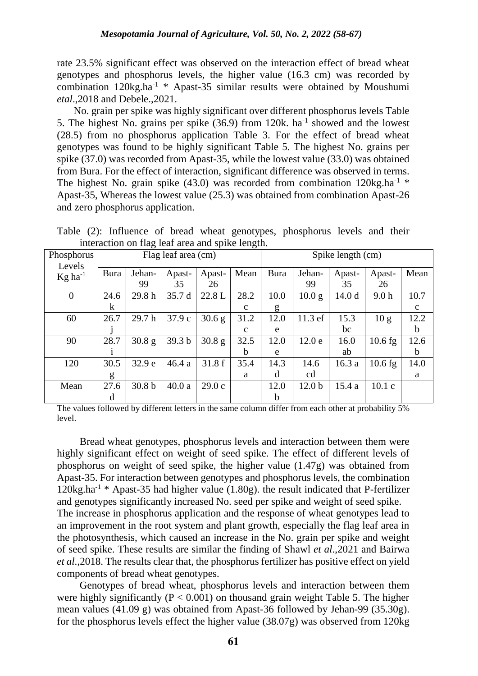rate 23.5% significant effect was observed on the interaction effect of bread wheat genotypes and phosphorus levels, the higher value (16.3 cm) was recorded by combination  $120kg \cdot ha^{-1}$  \* Apast-35 similar results were obtained by Moushumi *etal*.,2018 and Debele.,2021.

 No. grain per spike was highly significant over different phosphorus levels Table 5. The highest No. grains per spike  $(36.9)$  from 120k. ha<sup>-1</sup> showed and the lowest (28.5) from no phosphorus application Table 3. For the effect of bread wheat genotypes was found to be highly significant Table 5. The highest No. grains per spike (37.0) was recorded from Apast-35, while the lowest value (33.0) was obtained from Bura. For the effect of interaction, significant difference was observed in terms. The highest No. grain spike (43.0) was recorded from combination  $120$ kg.ha<sup>-1</sup> \* Apast-35, Whereas the lowest value (25.3) was obtained from combination Apast-26 and zero phosphorus application.

Table (2): Influence of bread wheat genotypes, phosphorus levels and their interaction on flag leaf area and spike length.

| Phosphorus                      |             |                   | Flag leaf area (cm) |                 | $\circ$      | Spike length (cm) |                   |                   |                  |             |
|---------------------------------|-------------|-------------------|---------------------|-----------------|--------------|-------------------|-------------------|-------------------|------------------|-------------|
| Levels<br>$Kg$ ha <sup>-1</sup> | <b>Bura</b> | Jehan-            | Apast-              | Apast-          | Mean         | Bura              | Jehan-            | Apast-            | Apast-           | Mean        |
|                                 |             | 99                | 35                  | 26              |              |                   | 99                | 35                | 26               |             |
| $\theta$                        | 24.6        | 29.8h             | 35.7 d              | 22.8 L          | 28.2         | 10.0              | 10.0 <sub>g</sub> | 14.0 <sub>d</sub> | 9.0 <sub>h</sub> | 10.7        |
|                                 | k           |                   |                     |                 | c            | g                 |                   |                   |                  | $\mathbf c$ |
| 60                              | 26.7        | 29.7h             | 37.9 c              | $30.6\text{ g}$ | 31.2         | 12.0              | 11.3 ef           | 15.3              | 10 <sub>g</sub>  | 12.2        |
|                                 |             |                   |                     |                 | $\mathbf{c}$ | e                 |                   | bc                |                  | b           |
| 90                              | 28.7        | $30.8\text{ g}$   | 39.3 <sub>b</sub>   | $30.8\text{ g}$ | 32.5         | 12.0              | 12.0 e            | 16.0              | $10.6$ fg        | 12.6        |
|                                 |             |                   |                     |                 | b            | e                 |                   | ab                |                  | $\mathbf b$ |
| 120                             | 30.5        | 32.9 e            | 46.4a               | 31.8f           | 35.4         | 14.3              | 14.6              | 16.3a             | $10.6$ fg        | 14.0        |
|                                 | g           |                   |                     |                 | a            | d                 | cd                |                   |                  | a           |
| Mean                            | 27.6        | 30.8 <sub>b</sub> | 40.0a               | 29.0c           |              | 12.0              | 12.0 <sub>b</sub> | 15.4a             | 10.1c            |             |
|                                 | d           |                   |                     |                 |              | b                 |                   |                   |                  |             |

The values followed by different letters in the same column differ from each other at probability 5% level.

Bread wheat genotypes, phosphorus levels and interaction between them were highly significant effect on weight of seed spike. The effect of different levels of phosphorus on weight of seed spike, the higher value (1.47g) was obtained from Apast-35. For interaction between genotypes and phosphorus levels, the combination  $120$ kg.ha<sup>-1</sup> \* Apast-35 had higher value  $(1.80g)$ . the result indicated that P-fertilizer and genotypes significantly increased No. seed per spike and weight of seed spike. The increase in phosphorus application and the response of wheat genotypes lead to an improvement in the root system and plant growth, especially the flag leaf area in the photosynthesis, which caused an increase in the No. grain per spike and weight of seed spike. These results are similar the finding of Shawl *et al*.,2021 and Bairwa *et al*.,2018. The results clear that, the phosphorus fertilizer has positive effect on yield components of bread wheat genotypes.

Genotypes of bread wheat, phosphorus levels and interaction between them were highly significantly ( $P < 0.001$ ) on thousand grain weight Table 5. The higher mean values (41.09 g) was obtained from Apast-36 followed by Jehan-99 (35.30g). for the phosphorus levels effect the higher value (38.07g) was observed from 120kg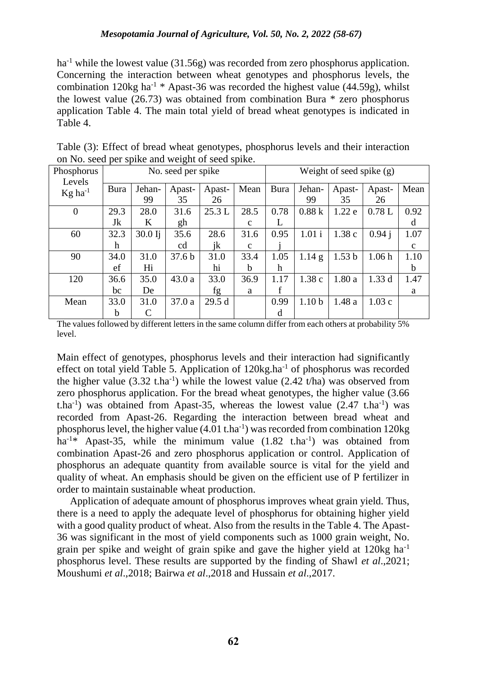$ha^{-1}$  while the lowest value (31.56g) was recorded from zero phosphorus application. Concerning the interaction between wheat genotypes and phosphorus levels, the combination 120kg ha<sup>-1</sup> \* Apast-36 was recorded the highest value (44.59g), whilst the lowest value (26.73) was obtained from combination Bura \* zero phosphorus application Table 4. The main total yield of bread wheat genotypes is indicated in Table 4.

| ‴ F ∃                           |      |           |                    |        |              |                            |                   |                   |        |              |  |
|---------------------------------|------|-----------|--------------------|--------|--------------|----------------------------|-------------------|-------------------|--------|--------------|--|
| Phosphorus                      |      |           | No. seed per spike |        |              | Weight of seed spike $(g)$ |                   |                   |        |              |  |
| Levels<br>$Kg$ ha <sup>-1</sup> | Bura | Jehan-    | Apast-             | Apast- | Mean         | Bura                       | Jehan-            | Apast-            | Apast- | Mean         |  |
|                                 |      | 99        | 35                 | 26     |              |                            | 99                | 35                | 26     |              |  |
| $\overline{0}$                  | 29.3 | 28.0      | 31.6               | 25.3 L | 28.5         | 0.78                       | 0.88k             | 1.22e             | 0.78L  | 0.92         |  |
|                                 | Jk   | K         | gh                 |        | $\mathbf c$  | L                          |                   |                   |        | d            |  |
| 60                              | 32.3 | $30.0$ Ij | 35.6               | 28.6   | 31.6         | 0.95                       | 1.01i             | 1.38c             | 0.94 i | 1.07         |  |
|                                 | h    |           | cd                 | jk     | $\mathbf{c}$ |                            |                   |                   |        | $\mathbf{c}$ |  |
| 90                              | 34.0 | 31.0      | 37.6 <sub>b</sub>  | 31.0   | 33.4         | 1.05                       | $1.14\text{ g}$   | 1.53 <sub>b</sub> | 1.06h  | 1.10         |  |
|                                 | ef   | Hi        |                    | hi     | h            | h                          |                   |                   |        | b            |  |
| 120                             | 36.6 | 35.0      | 43.0a              | 33.0   | 36.9         | 1.17                       | 1.38c             | 1.80a             | 1.33d  | 1.47         |  |
|                                 | bc   | De        |                    | fg     | a            | f                          |                   |                   |        | a            |  |
| Mean                            | 33.0 | 31.0      | 37.0 a             | 29.5d  |              | 0.99                       | 1.10 <sub>b</sub> | 1.48 a            | 1.03c  |              |  |
|                                 | b    | C         |                    |        |              | d                          |                   |                   |        |              |  |

Table (3): Effect of bread wheat genotypes, phosphorus levels and their interaction on No. seed per spike and weight of seed spike.

The values followed by different letters in the same column differ from each others at probability 5% level.

Main effect of genotypes, phosphorus levels and their interaction had significantly effect on total yield Table 5. Application of  $120$ kg.ha<sup>-1</sup> of phosphorus was recorded the higher value  $(3.32 \text{ t.ha}^{-1})$  while the lowest value  $(2.42 \text{ t/ha})$  was observed from zero phosphorus application. For the bread wheat genotypes, the higher value (3.66 t.ha<sup>-1</sup>) was obtained from Apast-35, whereas the lowest value  $(2.47 \text{ t.ha}^{-1})$  was recorded from Apast-26. Regarding the interaction between bread wheat and phosphorus level, the higher value  $(4.01 \text{ t.ha}^{-1})$  was recorded from combination 120kg ha<sup>-1\*</sup> Apast-35, while the minimum value  $(1.82 \text{ t.ha}^{-1})$  was obtained from combination Apast-26 and zero phosphorus application or control. Application of phosphorus an adequate quantity from available source is vital for the yield and quality of wheat. An emphasis should be given on the efficient use of P fertilizer in order to maintain sustainable wheat production.

 Application of adequate amount of phosphorus improves wheat grain yield. Thus, there is a need to apply the adequate level of phosphorus for obtaining higher yield with a good quality product of wheat. Also from the results in the Table 4. The Apast-36 was significant in the most of yield components such as 1000 grain weight, No. grain per spike and weight of grain spike and gave the higher yield at 120kg ha-1 phosphorus level. These results are supported by the finding of Shawl *et al*.,2021; Moushumi *et al*.,2018; Bairwa *et al*.,2018 and Hussain *et al*.,2017.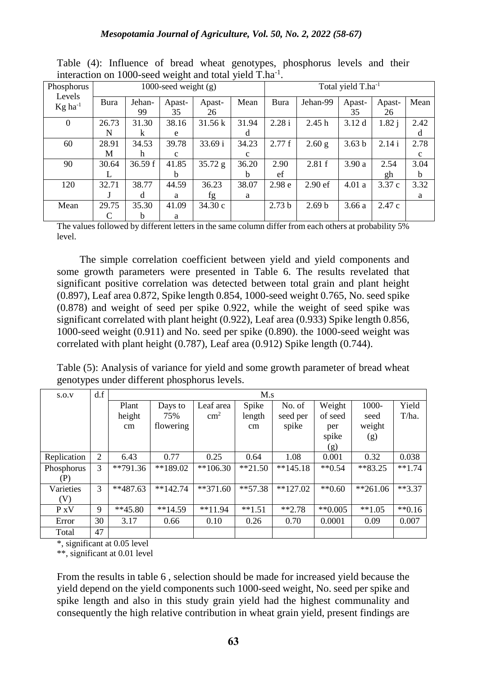| Phosphorus                      |       |         | 1000-seed weight $(g)$ |                   | Total yield T.ha <sup>-1</sup> |                   |                    |                   |          |              |
|---------------------------------|-------|---------|------------------------|-------------------|--------------------------------|-------------------|--------------------|-------------------|----------|--------------|
| Levels<br>$Kg$ ha <sup>-1</sup> | Bura  | Jehan-  | Apast-                 | Apast-            | Mean                           | <b>Bura</b>       | Jehan-99           | Apast-            | Apast-   | Mean         |
|                                 |       | 99      | 35                     | 26                |                                |                   |                    | 35                | 26       |              |
| 0                               | 26.73 | 31.30   | 38.16                  | $31.56 \text{ k}$ | 31.94                          | 2.28 i            | 2.45h              | 3.12d             | $1.82$ j | 2.42         |
|                                 | N     | k       | e                      |                   | d                              |                   |                    |                   |          | d            |
| 60                              | 28.91 | 34.53   | 39.78                  | 33.69 i           | 34.23                          | 2.77f             | $2.60$ g           | 3.63 <sub>b</sub> | 2.14 i   | 2.78         |
|                                 | M     | h       | $\mathbf{c}$           |                   | c                              |                   |                    |                   |          | $\mathbf{c}$ |
| 90                              | 30.64 | 36.59 f | 41.85                  | 35.72 g           | 36.20                          | 2.90              | 2.81 f             | 3.90a             | 2.54     | 3.04         |
|                                 |       |         | b                      |                   | h                              | ef                |                    |                   | gh       | b            |
| 120                             | 32.71 | 38.77   | 44.59                  | 36.23             | 38.07                          | 2.98 <sub>e</sub> | 2.90 <sub>ef</sub> | 4.01a             | 3.37 c   | 3.32         |
|                                 |       | d       | a                      | fg                | a                              |                   |                    |                   |          | a            |
| Mean                            | 29.75 | 35.30   | 41.09                  | 34.30c            |                                | 2.73 <sub>b</sub> | 2.69 <sub>b</sub>  | 3.66a             | 2.47c    |              |
|                                 |       | b       | a                      |                   |                                |                   |                    |                   |          |              |

Table (4): Influence of bread wheat genotypes, phosphorus levels and their interaction on 1000-seed weight and total yield T.ha<sup>-1</sup>.

The values followed by different letters in the same column differ from each others at probability 5% level.

The simple correlation coefficient between yield and yield components and some growth parameters were presented in Table 6. The results revelated that significant positive correlation was detected between total grain and plant height (0.897), Leaf area 0.872, Spike length 0.854, 1000-seed weight 0.765, No. seed spike (0.878) and weight of seed per spike 0.922, while the weight of seed spike was significant correlated with plant height (0.922), Leaf area (0.933) Spike length 0.856, 1000-seed weight (0.911) and No. seed per spike (0.890). the 1000-seed weight was correlated with plant height (0.787), Leaf area (0.912) Spike length (0.744).

Table (5): Analysis of variance for yield and some growth parameter of bread wheat genotypes under different phosphorus levels.

| S.O.V       | d.f |            | M.s        |               |           |            |                      |           |          |  |  |  |
|-------------|-----|------------|------------|---------------|-----------|------------|----------------------|-----------|----------|--|--|--|
|             |     | Plant      | Days to    | Leaf area     | Spike     | No. of     | Weight               | 1000-     | Yield    |  |  |  |
|             |     | height     | 75%        | $\text{cm}^2$ | length    | seed per   | of seed              | seed      | T/ha.    |  |  |  |
|             |     | cm         | flowering  |               | cm        | spike      | per                  | weight    |          |  |  |  |
|             |     |            |            |               |           |            | spike                | (g)       |          |  |  |  |
|             |     |            |            |               |           |            | (g)                  |           |          |  |  |  |
| Replication | 2   | 6.43       | 0.77       | 0.25          | 0.64      | 1.08       | 0.001                | 0.32      | 0.038    |  |  |  |
| Phosphorus  | 3   | $**791.36$ | **189.02   | $**106.30$    | $**21.50$ | $**145.18$ | $*$ $*$ 0.54         | $*83.25$  | $**1.74$ |  |  |  |
| (P)         |     |            |            |               |           |            |                      |           |          |  |  |  |
| Varieties   | 3   | $**487.63$ | $**142.74$ | $**371.60$    | $**57.38$ | $**127.02$ | $*$ <sup>0.60</sup>  | $*261.06$ | $**3.37$ |  |  |  |
| (V)         |     |            |            |               |           |            |                      |           |          |  |  |  |
| $P_XV$      | 9   | $**45.80$  | $**14.59$  | $**11.94$     | $**1.51$  | $*2.78$    | $*$ <sup>0.005</sup> | $**1.05$  | $**0.16$ |  |  |  |
| Error       | 30  | 3.17       | 0.66       | 0.10          | 0.26      | 0.70       | 0.0001               | 0.09      | 0.007    |  |  |  |
| Total       | 47  |            |            |               |           |            |                      |           |          |  |  |  |

\*, significant at 0.05 level

\*\*, significant at 0.01 level

From the results in table 6 , selection should be made for increased yield because the yield depend on the yield components such 1000-seed weight, No. seed per spike and spike length and also in this study grain yield had the highest communality and consequently the high relative contribution in wheat grain yield, present findings are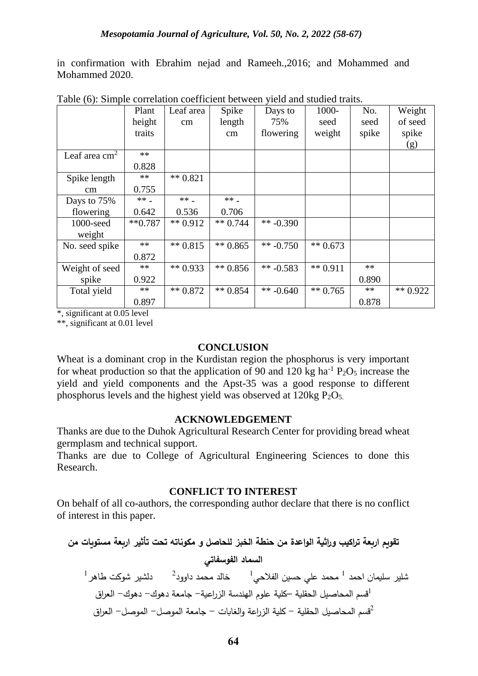in confirmation with Ebrahim nejad and Rameeh.,2016; and Mohammed and Mohammed 2020.

|                 | Plant     | Leaf area  | Spike      | Days to     | 1000-      | No.   | Weight     |
|-----------------|-----------|------------|------------|-------------|------------|-------|------------|
|                 | height    | cm         | length     | 75%         | seed       | seed  | of seed    |
|                 | traits    |            | cm         | flowering   | weight     | spike | spike      |
|                 |           |            |            |             |            |       | (g)        |
| Leaf area $cm2$ | $**$      |            |            |             |            |       |            |
|                 | 0.828     |            |            |             |            |       |            |
| Spike length    | $**$      | ** $0.821$ |            |             |            |       |            |
| cm              | 0.755     |            |            |             |            |       |            |
| Days to 75%     | ** _      | ** _       | ** _       |             |            |       |            |
| flowering       | 0.642     | 0.536      | 0.706      |             |            |       |            |
| 1000-seed       | $**0.787$ | ** $0.912$ | ** $0.744$ | ** $-0.390$ |            |       |            |
| weight          |           |            |            |             |            |       |            |
| No. seed spike  | $**$      | ** $0.815$ | $** 0.865$ | ** $-0.750$ | ** $0.673$ |       |            |
|                 | 0.872     |            |            |             |            |       |            |
| Weight of seed  | $**$      | ** $0.933$ | $** 0.856$ | ** $-0.583$ | $** 0.911$ | $**$  |            |
| spike           | 0.922     |            |            |             |            | 0.890 |            |
| Total yield     | $**$      | $** 0.872$ | $** 0.854$ | ** $-0.640$ | $** 0.765$ | **    | ** $0.922$ |
|                 | 0.897     |            |            |             |            | 0.878 |            |

Table (6): Simple correlation coefficient between yield and studied traits.

\*, significant at 0.05 level

\*\*, significant at 0.01 level

# **CONCLUSION**

Wheat is a dominant crop in the Kurdistan region the phosphorus is very important for wheat production so that the application of 90 and 120 kg ha<sup>-1</sup>  $P_2O_5$  increase the yield and yield components and the Apst-35 was a good response to different phosphorus levels and the highest yield was observed at  $120 \text{kg} P_2O_5$ .

# **ACKNOWLEDGEMENT**

Thanks are due to the Duhok Agricultural Research Center for providing bread wheat germplasm and technical support.

Thanks are due to College of Agricultural Engineering Sciences to done this Research.

# **CONFLICT TO INTEREST**

On behalf of all co-authors, the corresponding author declare that there is no conflict of interest in this paper.

**تقويم اربعة تراكيب وراثية الواعدة من حنطة الخبز للحاصل و مكوناته تحت تأثير اربعة مستويات من السماد الفوسفاتي**  $^{-1}$  علي حسين الفلاحي $^{-1}$  خالد محمد داوود $^{-2}$  دلشير شوكت طاهر <sup>1</sup>قسم المحاصيل الحقلية –كلية علوم الهندسة الزراعية- جامعة دهوك- دهوك- العراق <sup>2</sup>قسم المحاصيل الحقلية - كلية الزراعة والغابات - جامعة الموصل- الموصل- العراق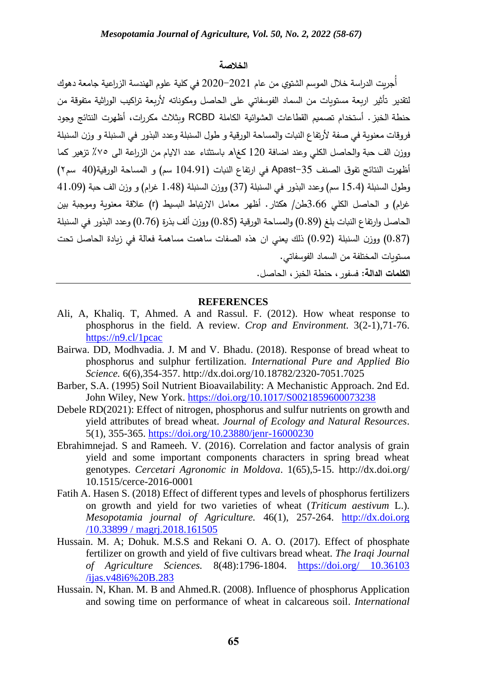### **الخالصة**

أُجريت الدراسة خلال الموسم الشتوي من عام 2021–2020 في كلية علوم الهندسة الزراعية جامعة دهوك لتقدير تأثير اربعة مستويات من السماد الفوسفاتي على الحاصل ومكوناته ألربعة تراكيب الوراثية متفوقة من حنطة الخبز. أستخدام تصميم القطاعات العشوائية الكاملة RCBD وبثالث مكررات، أظهرت النتائج وجود فروقات معنوية في صفة ألرتفاع النبات والمساحة الورقية و طول السنبلة وعدد البذور في السنبلة و وزن السنبلة ووزن الف حبة والحاصل الكلي وعند اضافة 120 كغ\ه باستثناء عدد االيام من الزراعة الى ٪٧٥ تزهير كما أظهرت النتائج تفوق الصنف -35Apast في ارتفاع النبات )104.91 سم( و المساحة الورقية)40 سم٢( وطول السنبلة (15.4 سم) وعدد البذور في السنبلة (37) ووزن السنبلة (1.48 غرام) و وزن الف حبة (41.09 غرام) و الحاصل الكلي 3.66طن/ هكتار . أظهر معامل الإرتباط البسيط (r) علاقة معنوية وموجبة بين الحاصل وارتفاع النبات بلغ )0.89( والمساحة الورقية )0.85( ووزن ألف بذرة )0.76( وعدد البذور في السنبلة )0.87( ووزن السنبلة )0.92( ذلك يعني ان هذه الصفات ساهمت مساهمة فعالة في زيادة الحاصل تحت مستويات المختلفة من السماد الفوسفاتي.

**الكلمات الدالة**: فسفور، حنطة الخبز، الحاصل.

### **REFERENCES**

- Ali, A, Khaliq. T, Ahmed. A and Rassul. F. (2012). How wheat response to phosphorus in the field. A review*. Crop and Environment.* 3(2-1),71-76. <https://n9.cl/1pcac>
- Bairwa. DD, Modhvadia. J. M and V. Bhadu. (2018). Response of bread wheat to phosphorus and sulphur fertilization. *International Pure and Applied Bio Science.* 6(6),354-357.<http://dx.doi.org/10.18782/2320-7051.7025>
- Barber, S.A. (1995) Soil Nutrient Bioavailability: A Mechanistic Approach. 2nd Ed. John Wiley, New York.<https://doi.org/10.1017/S0021859600073238>
- Debele RD(2021): Effect of nitrogen, phosphorus and sulfur nutrients on growth and yield attributes of bread wheat. *Journal of Ecology and Natural Resources*. 5(1), 355-365.<https://doi.org/10.23880/jenr-16000230>
- Ebrahimnejad. S and Rameeh. V. (2016). Correlation and factor analysis of grain yield and some important components characters in spring bread wheat genotypes. *Cercetari Agronomic in Moldova*. 1(65),5-15. [http://dx.doi.org/](http://dx.doi.org/%2010.1515/cerce-2016-0001)  [10.1515/cerce-2016-0001](http://dx.doi.org/%2010.1515/cerce-2016-0001)
- Fatih A. Hasen S. (2018) Effect of different types and levels of phosphorus fertilizers on growth and yield for two varieties of wheat (*Triticum aestivum* L.). *Mesopotamia journal of Agriculture.* 46(1), 257-264. http://dx.doi.org /10.33899 / magrj.2018.161505
- Hussain. M. A; Dohuk. M.S.S and Rekani O. A. O. (2017). Effect of phosphate fertilizer on growth and yield of five cultivars bread wheat*. The Iraqi Journal of Agriculture Sciences.* 8(48):1796-1804. [https://doi.org/ 10.36103](https://doi.org/%2010.36103%20/ijas.v48i6%20B.283)  [/ijas.v48i6%20B.283](https://doi.org/%2010.36103%20/ijas.v48i6%20B.283)
- Hussain. N, Khan. M. B and Ahmed.R. (2008). Influence of phosphorus Application and sowing time on performance of wheat in calcareous soil. *International*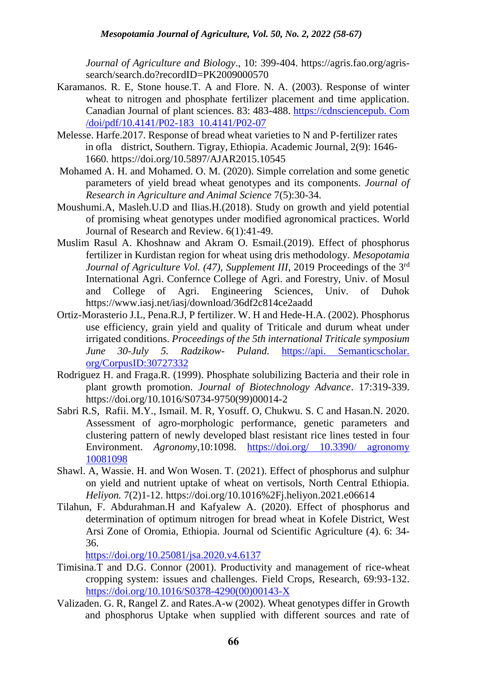*Journal of Agriculture and Biology*., 10: 399-404. [https://agris.fao.org/agris](https://agris.fao.org/agris-search/search.do?recordID=PK2009000570)[search/search.do?recordID=PK2009000570](https://agris.fao.org/agris-search/search.do?recordID=PK2009000570)

- Karamanos. R. E, Stone house.T. A and Flore. N. A. (2003). Response of winter wheat to nitrogen and phosphate fertilizer placement and time application. Canadian Journal of plant sciences. 83: 483-488. https://cdnsciencepub. Com /doi/pdf/10.4141/P02-183 10.4141/P02-07
- Melesse. Harfe.2017. Response of bread wheat varieties to N and P-fertilizer rates in ofla district, Southern. Tigray, Ethiopia. Academic Journal, 2(9): 1646- 1660.<https://doi.org/10.5897/AJAR2015.10545>
- Mohamed A. H. and Mohamed. O. M. (2020). Simple correlation and some genetic parameters of yield bread wheat genotypes and its components. *Journal of Research in Agriculture and Animal Science* 7(5):30-34.
- Moushumi.A, Masleh.U.D and Ilias.H.(2018). Study on growth and yield potential of promising wheat genotypes under modified agronomical practices. World Journal of Research and Review. 6(1):41-49.
- Muslim Rasul A. Khoshnaw and Akram O. Esmail.(2019). Effect of phosphorus fertilizer in Kurdistan region for wheat using dris methodology. *Mesopotamia Journal of Agriculture Vol. (47), Supplement III, 2019 Proceedings of the 3<sup>rd</sup>* International Agri. Confernce College of Agri. and Forestry, Univ. of Mosul and College of Agri. Engineering Sciences, Univ. of Duhok <https://www.iasj.net/iasj/download/36df2c814ce2aadd>
- Ortiz-Morasterio J.L, Pena.R.J, P fertilizer. W. H and Hede-H.A. (2002). Phosphorus use efficiency, grain yield and quality of Triticale and durum wheat under irrigated conditions. *Proceedings of the 5th international Triticale symposium June 30-July 5. Radzikow- Puland.* https://api. Semanticscholar. org/CorpusID:30727332
- Rodriguez H. and Fraga.R. (1999). Phosphate solubilizing Bacteria and their role in plant growth promotion. *Journal of Biotechnology Advance*. 17:319-339. [https://doi.org/10.1016/S0734-9750\(99\)00014-2](https://doi.org/10.1016/S0734-9750(99)00014-2)
- Sabri R.S, Rafii. M.Y., Ismail. M. R, Yosuff. O, Chukwu. S. C and Hasan.N. 2020. Assessment of agro-morphologic performance, genetic parameters and clustering pattern of newly developed blast resistant rice lines tested in four Environment. *Agronomy*,10:1098. [https://doi.org/ 10.3390/ agronomy](https://doi.org/%2010.3390/%20agronomy%2010081098)  [10081098](https://doi.org/%2010.3390/%20agronomy%2010081098)
- Shawl. A, Wassie. H. and Won Wosen. T. (2021). Effect of phosphorus and sulphur on yield and nutrient uptake of wheat on vertisols, North Central Ethiopia. *Heliyon.* 7(2)1-12.<https://doi.org/10.1016%2Fj.heliyon.2021.e06614>
- Tilahun, F. Abdurahman.H and Kafyalew A. (2020). Effect of phosphorus and determination of optimum nitrogen for bread wheat in Kofele District, West Arsi Zone of Oromia, Ethiopia. Journal od Scientific Agriculture (4). 6: 34- 36.

<https://doi.org/10.25081/jsa.2020.v4.6137>

- Timisina.T and D.G. Connor (2001). Productivity and management of rice-wheat cropping system: issues and challenges. Field Crops, Research, 69:93-132. [https://doi.org/10.1016/S0378-4290\(00\)00143-X](https://doi.org/10.1016/S0378-4290(00)00143-X)
- Valizaden. G. R, Rangel Z. and Rates.A-w (2002). Wheat genotypes differ in Growth and phosphorus Uptake when supplied with different sources and rate of